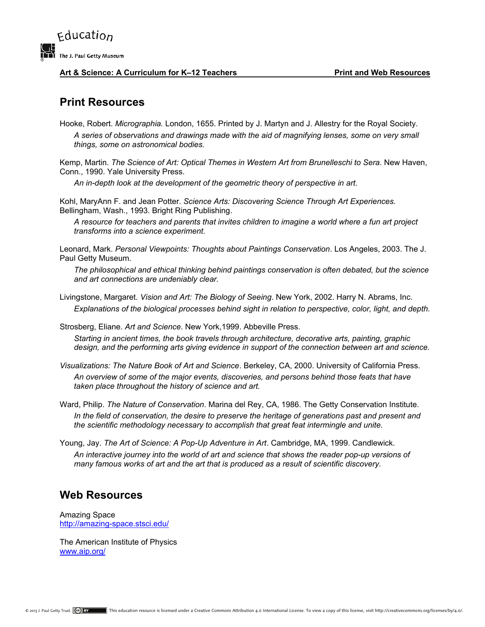

## Art & Science: A Curriculum for K-12 Teachers **Print and Web Resources**

## **Print Resources**

Hooke, Robert. *Micrographia.* London, 1655. Printed by J. Martyn and J. Allestry for the Royal Society. *A series of observations and drawings made with the aid of magnifying lenses, some on very small things, some on astronomical bodies.* 

Kemp, Martin. *The Science of Art: Optical Themes in Western Art from Brunelleschi to Sera*. New Haven, Conn., 1990. Yale University Press.

*An in-depth look at the development of the geometric theory of perspective in art.* 

Kohl, MaryAnn F. and Jean Potter. *Science Arts: Discovering Science Through Art Experiences.*  Bellingham, Wash., 1993. Bright Ring Publishing.

*A resource for teachers and parents that invites children to imagine a world where a fun art project transforms into a science experiment.* 

Leonard, Mark. *Personal Viewpoints: Thoughts about Paintings Conservation*. Los Angeles, 2003. The J. Paul Getty Museum.

*The philosophical and ethical thinking behind paintings conservation is often debated, but the science and art connections are undeniably clear.* 

Livingstone, Margaret. *Vision and Art: The Biology of Seeing*. New York, 2002. Harry N. Abrams, Inc. *Explanations of the biological processes behind sight in relation to perspective, color, light, and depth.* 

Strosberg, Eliane. *Art and Science*. New York,1999. Abbeville Press.

*Starting in ancient times, the book travels through architecture, decorative arts, painting, graphic design, and the performing arts giving evidence in support of the connection between art and science.* 

*Visualizations: The Nature Book of Art and Science*. Berkeley, CA, 2000. University of California Press. *An overview of some of the major events, discoveries, and persons behind those feats that have taken place throughout the history of science and art.* 

- Ward, Philip. *The Nature of Conservation*. Marina del Rey, CA, 1986. The Getty Conservation Institute. In the field of conservation, the desire to preserve the heritage of generations past and present and *the scientific methodology necessary to accomplish that great feat intermingle and unite.*
- Young, Jay. *The Art of Science: A Pop-Up Adventure in Art*. Cambridge, MA, 1999. Candlewick. *An interactive journey into the world of art and science that shows the reader pop-up versions of many famous works of art and the art that is produced as a result of scientific discovery.*

## **Web Resources**

Amazing Space http://amazing-space.stsci.edu/

The American Institute of Physics www.aip.org/